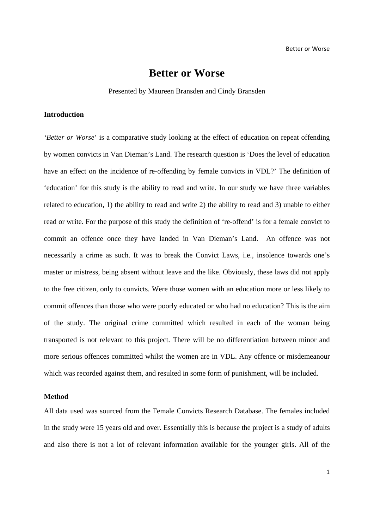# **Better or Worse**

Presented by Maureen Bransden and Cindy Bransden

## **Introduction**

*'Better or Worse*' is a comparative study looking at the effect of education on repeat offending by women convicts in Van Dieman's Land. The research question is 'Does the level of education have an effect on the incidence of re-offending by female convicts in VDL?' The definition of 'education' for this study is the ability to read and write. In our study we have three variables related to education, 1) the ability to read and write 2) the ability to read and 3) unable to either read or write. For the purpose of this study the definition of 're-offend' is for a female convict to commit an offence once they have landed in Van Dieman's Land. An offence was not necessarily a crime as such. It was to break the Convict Laws, i.e., insolence towards one's master or mistress, being absent without leave and the like. Obviously, these laws did not apply to the free citizen, only to convicts. Were those women with an education more or less likely to commit offences than those who were poorly educated or who had no education? This is the aim of the study. The original crime committed which resulted in each of the woman being transported is not relevant to this project. There will be no differentiation between minor and more serious offences committed whilst the women are in VDL. Any offence or misdemeanour which was recorded against them, and resulted in some form of punishment, will be included.

#### **Method**

All data used was sourced from the Female Convicts Research Database. The females included in the study were 15 years old and over. Essentially this is because the project is a study of adults and also there is not a lot of relevant information available for the younger girls. All of the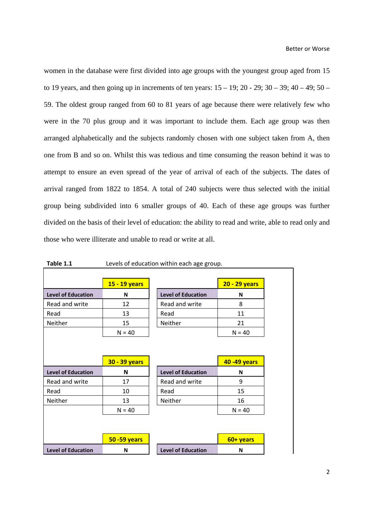women in the database were first divided into age groups with the youngest group aged from 15 to 19 years, and then going up in increments of ten years:  $15 - 19$ ;  $20 - 29$ ;  $30 - 39$ ;  $40 - 49$ ;  $50 -$ 59. The oldest group ranged from 60 to 81 years of age because there were relatively few who were in the 70 plus group and it was important to include them. Each age group was then arranged alphabetically and the subjects randomly chosen with one subject taken from A, then one from B and so on. Whilst this was tedious and time consuming the reason behind it was to attempt to ensure an even spread of the year of arrival of each of the subjects. The dates of arrival ranged from 1822 to 1854. A total of 240 subjects were thus selected with the initial group being subdivided into 6 smaller groups of 40. Each of these age groups was further divided on the basis of their level of education: the ability to read and write, able to read only and those who were illiterate and unable to read or write at all.

| Table 1.1                 | Levels of education within each age group. |                           |                      |
|---------------------------|--------------------------------------------|---------------------------|----------------------|
|                           |                                            |                           |                      |
|                           | 15 - 19 years                              |                           | <b>20 - 29 years</b> |
| <b>Level of Education</b> | N                                          | <b>Level of Education</b> | N                    |
| Read and write            | 12                                         | Read and write            | 8                    |
| Read                      | 13                                         | Read                      | 11                   |
| Neither                   | 15                                         | Neither                   | 21                   |
|                           | $N = 40$                                   |                           | $N = 40$             |
|                           |                                            |                           |                      |
|                           |                                            |                           |                      |
|                           |                                            |                           |                      |
|                           | <b>30 - 39 years</b>                       |                           | <b>40 -49 years</b>  |
| <b>Level of Education</b> | N                                          | <b>Level of Education</b> | N                    |
| Read and write            | 17                                         | Read and write            | 9                    |
| Read                      | 10                                         | Read                      | 15                   |
| Neither                   | 13                                         | Neither                   | 16                   |
|                           | $N = 40$                                   |                           | $N = 40$             |
|                           |                                            |                           |                      |
|                           |                                            |                           |                      |
|                           | <b>50 - 59 years</b>                       |                           | 60+ years            |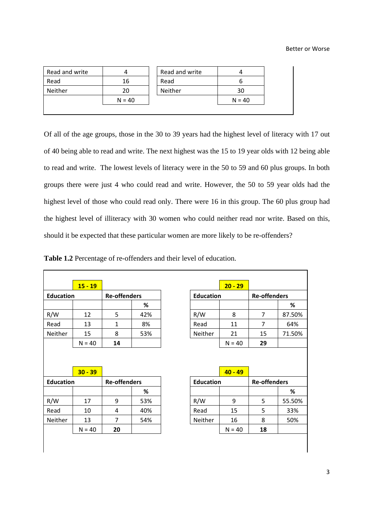| Read and write |          | Read and write |          |
|----------------|----------|----------------|----------|
| Read           | 16       | Read           |          |
| Neither        | 20       | Neither        | 30       |
|                | $N = 40$ |                | $N = 40$ |
|                |          |                |          |

Of all of the age groups, those in the 30 to 39 years had the highest level of literacy with 17 out of 40 being able to read and write. The next highest was the 15 to 19 year olds with 12 being able to read and write. The lowest levels of literacy were in the 50 to 59 and 60 plus groups. In both groups there were just 4 who could read and write. However, the 50 to 59 year olds had the highest level of those who could read only. There were 16 in this group. The 60 plus group had the highest level of illiteracy with 30 women who could neither read nor write. Based on this, should it be expected that these particular women are more likely to be re-offenders?

|                  | $15 - 19$ |                     |     |                  | $20 - 29$ |                     |        |
|------------------|-----------|---------------------|-----|------------------|-----------|---------------------|--------|
| <b>Education</b> |           | <b>Re-offenders</b> |     | <b>Education</b> |           | <b>Re-offenders</b> |        |
|                  |           |                     | %   |                  |           |                     | %      |
| R/W              | 12        | 5                   | 42% | R/W              | 8         | $\overline{7}$      | 87.50% |
| Read             | 13        | 1                   | 8%  | Read             | 11        | 7                   | 64%    |
| Neither          | 15        | 8                   | 53% | Neither          | 21        | 15                  | 71.50% |
|                  |           |                     |     |                  |           |                     |        |
|                  | $N = 40$  | 14                  |     |                  | $N = 40$  | 29                  |        |
|                  |           |                     |     |                  |           |                     |        |
| <b>Education</b> | $30 - 39$ | <b>Re-offenders</b> |     | <b>Education</b> | $40 - 49$ | <b>Re-offenders</b> |        |
|                  |           |                     | %   |                  |           |                     | %      |
| R/W              | 17        | 9                   | 53% | R/W              | 9         | 5                   | 55.50% |
| Read             | 10        | 4                   | 40% | Read             | 15        | 5                   | 33%    |
| Neither          | 13        | $\overline{7}$      | 54% | Neither          | 16        | 8                   | 50%    |

| Table 1.2 Percentage of re-offenders and their level of education. |  |  |  |  |  |
|--------------------------------------------------------------------|--|--|--|--|--|
|--------------------------------------------------------------------|--|--|--|--|--|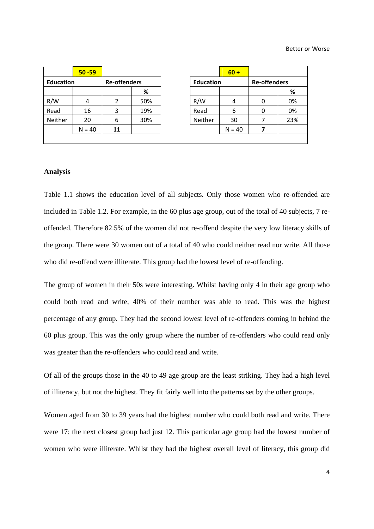#### Better or Worse

|                  | $50 - 59$ |                     |     |                  | $60 +$   |                     |  |
|------------------|-----------|---------------------|-----|------------------|----------|---------------------|--|
| <b>Education</b> |           | <b>Re-offenders</b> |     | <b>Education</b> |          | <b>Re-offenders</b> |  |
|                  |           |                     | %   |                  |          |                     |  |
| R/W              | 4         |                     | 50% | R/W              | 4        | 0                   |  |
| Read             | 16        | 3                   | 19% | Read             | 6        | 0                   |  |
| Neither          | 20        | 6                   | 30% | Neither          | 30       |                     |  |
|                  | $N = 40$  | 11                  |     |                  | $N = 40$ |                     |  |

### **Analysis**

Table 1.1 shows the education level of all subjects. Only those women who re-offended are included in Table 1.2. For example, in the 60 plus age group, out of the total of 40 subjects, 7 reoffended. Therefore 82.5% of the women did not re-offend despite the very low literacy skills of the group. There were 30 women out of a total of 40 who could neither read nor write. All those who did re-offend were illiterate. This group had the lowest level of re-offending.

The group of women in their 50s were interesting. Whilst having only 4 in their age group who could both read and write, 40% of their number was able to read. This was the highest percentage of any group. They had the second lowest level of re-offenders coming in behind the 60 plus group. This was the only group where the number of re-offenders who could read only was greater than the re-offenders who could read and write.

Of all of the groups those in the 40 to 49 age group are the least striking. They had a high level of illiteracy, but not the highest. They fit fairly well into the patterns set by the other groups.

Women aged from 30 to 39 years had the highest number who could both read and write. There were 17; the next closest group had just 12. This particular age group had the lowest number of women who were illiterate. Whilst they had the highest overall level of literacy, this group did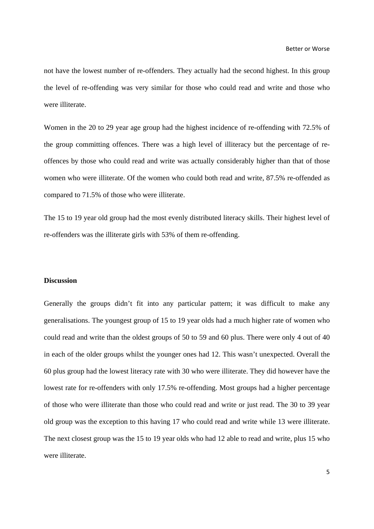not have the lowest number of re-offenders. They actually had the second highest. In this group the level of re-offending was very similar for those who could read and write and those who were illiterate.

Women in the 20 to 29 year age group had the highest incidence of re-offending with 72.5% of the group committing offences. There was a high level of illiteracy but the percentage of reoffences by those who could read and write was actually considerably higher than that of those women who were illiterate. Of the women who could both read and write, 87.5% re-offended as compared to 71.5% of those who were illiterate.

The 15 to 19 year old group had the most evenly distributed literacy skills. Their highest level of re-offenders was the illiterate girls with 53% of them re-offending.

#### **Discussion**

Generally the groups didn't fit into any particular pattern; it was difficult to make any generalisations. The youngest group of 15 to 19 year olds had a much higher rate of women who could read and write than the oldest groups of 50 to 59 and 60 plus. There were only 4 out of 40 in each of the older groups whilst the younger ones had 12. This wasn't unexpected. Overall the 60 plus group had the lowest literacy rate with 30 who were illiterate. They did however have the lowest rate for re-offenders with only 17.5% re-offending. Most groups had a higher percentage of those who were illiterate than those who could read and write or just read. The 30 to 39 year old group was the exception to this having 17 who could read and write while 13 were illiterate. The next closest group was the 15 to 19 year olds who had 12 able to read and write, plus 15 who were illiterate.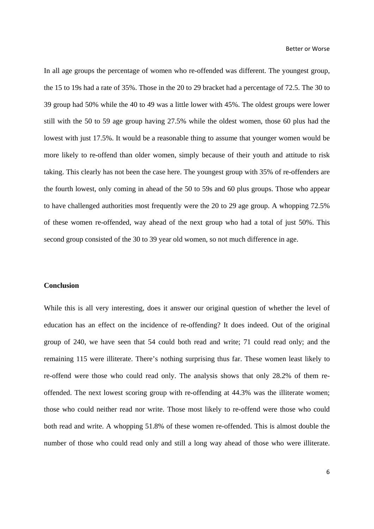In all age groups the percentage of women who re-offended was different. The youngest group, the 15 to 19s had a rate of 35%. Those in the 20 to 29 bracket had a percentage of 72.5. The 30 to 39 group had 50% while the 40 to 49 was a little lower with 45%. The oldest groups were lower still with the 50 to 59 age group having 27.5% while the oldest women, those 60 plus had the lowest with just 17.5%. It would be a reasonable thing to assume that younger women would be more likely to re-offend than older women, simply because of their youth and attitude to risk taking. This clearly has not been the case here. The youngest group with 35% of re-offenders are the fourth lowest, only coming in ahead of the 50 to 59s and 60 plus groups. Those who appear to have challenged authorities most frequently were the 20 to 29 age group. A whopping 72.5% of these women re-offended, way ahead of the next group who had a total of just 50%. This second group consisted of the 30 to 39 year old women, so not much difference in age.

# **Conclusion**

While this is all very interesting, does it answer our original question of whether the level of education has an effect on the incidence of re-offending? It does indeed. Out of the original group of 240, we have seen that 54 could both read and write; 71 could read only; and the remaining 115 were illiterate. There's nothing surprising thus far. These women least likely to re-offend were those who could read only. The analysis shows that only 28.2% of them reoffended. The next lowest scoring group with re-offending at 44.3% was the illiterate women; those who could neither read nor write. Those most likely to re-offend were those who could both read and write. A whopping 51.8% of these women re-offended. This is almost double the number of those who could read only and still a long way ahead of those who were illiterate.